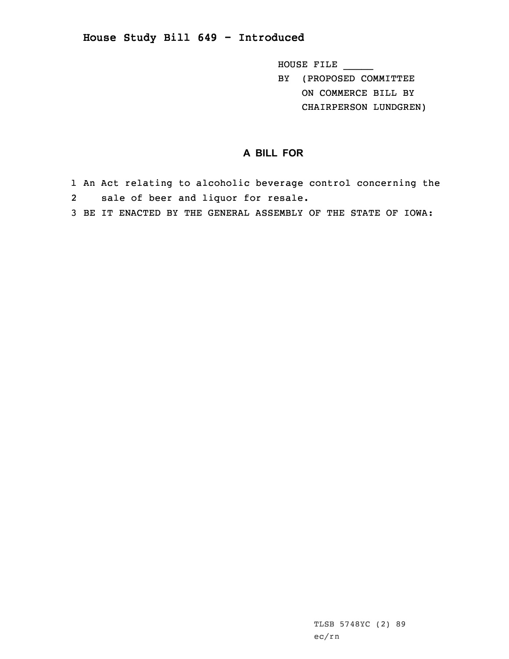## **House Study Bill 649 - Introduced**

HOUSE FILE \_\_\_\_\_ BY (PROPOSED COMMITTEE ON COMMERCE BILL BY CHAIRPERSON LUNDGREN)

## **A BILL FOR**

- 1 An Act relating to alcoholic beverage control concerning the 2sale of beer and liquor for resale.
- 3 BE IT ENACTED BY THE GENERAL ASSEMBLY OF THE STATE OF IOWA: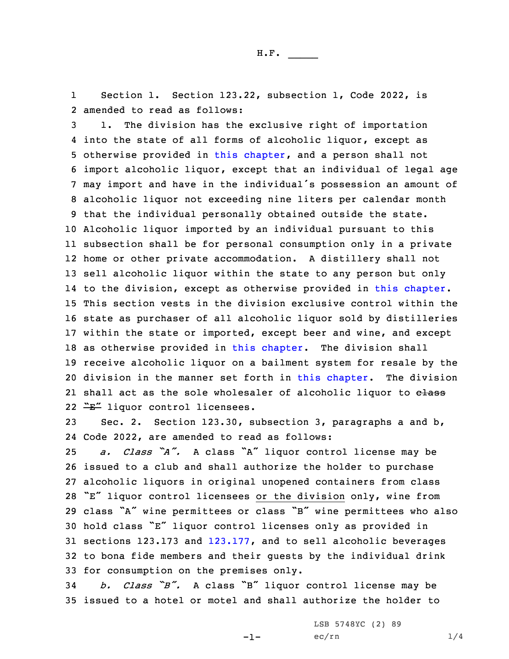1 Section 1. Section 123.22, subsection 1, Code 2022, is 2 amended to read as follows:

 1. The division has the exclusive right of importation into the state of all forms of alcoholic liquor, except as otherwise provided in this [chapter](https://www.legis.iowa.gov/docs/code/2022/123.pdf), and <sup>a</sup> person shall not import alcoholic liquor, except that an individual of legal age may import and have in the individual's possession an amount of alcoholic liquor not exceeding nine liters per calendar month that the individual personally obtained outside the state. Alcoholic liquor imported by an individual pursuant to this subsection shall be for personal consumption only in <sup>a</sup> private home or other private accommodation. <sup>A</sup> distillery shall not sell alcoholic liquor within the state to any person but only to the division, except as otherwise provided in this [chapter](https://www.legis.iowa.gov/docs/code/2022/123.pdf). This section vests in the division exclusive control within the state as purchaser of all alcoholic liquor sold by distilleries within the state or imported, except beer and wine, and except 18 as otherwise provided in this [chapter](https://www.legis.iowa.gov/docs/code/2022/123.pdf). The division shall receive alcoholic liquor on <sup>a</sup> bailment system for resale by the division in the manner set forth in this [chapter](https://www.legis.iowa.gov/docs/code/2022/123.pdf). The division 21 shall act as the sole wholesaler of alcoholic liquor to <del>class</del> 22 "E" liquor control licensees.

23 Sec. 2. Section 123.30, subsection 3, paragraphs <sup>a</sup> and b, 24 Code 2022, are amended to read as follows:

 *a. Class "A".* <sup>A</sup> class "A" liquor control license may be issued to <sup>a</sup> club and shall authorize the holder to purchase alcoholic liquors in original unopened containers from class "E" liquor control licensees or the division only, wine from class "A" wine permittees or class "B" wine permittees who also hold class "E" liquor control licenses only as provided in sections 123.173 and [123.177](https://www.legis.iowa.gov/docs/code/2022/123.177.pdf), and to sell alcoholic beverages to bona fide members and their guests by the individual drink for consumption on the premises only.

<sup>34</sup> *b. Class "B".* <sup>A</sup> class "B" liquor control license may be 35 issued to <sup>a</sup> hotel or motel and shall authorize the holder to

-1-

LSB 5748YC (2) 89  $ec/rn$  1/4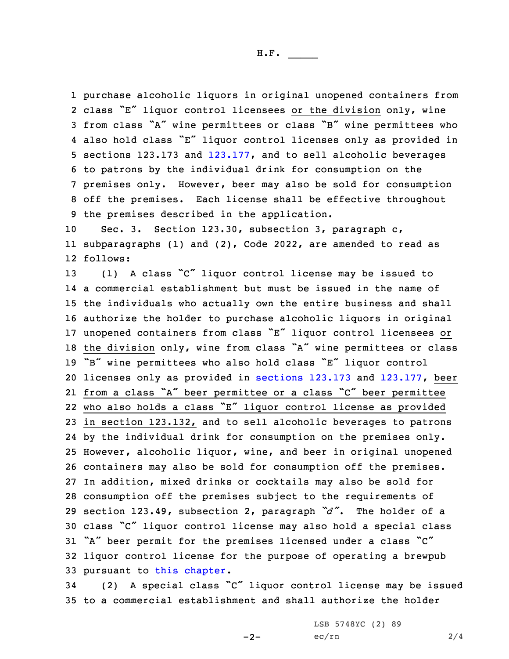purchase alcoholic liquors in original unopened containers from class "E" liquor control licensees or the division only, wine from class "A" wine permittees or class "B" wine permittees who also hold class "E" liquor control licenses only as provided in sections 123.173 and [123.177](https://www.legis.iowa.gov/docs/code/2022/123.177.pdf), and to sell alcoholic beverages to patrons by the individual drink for consumption on the premises only. However, beer may also be sold for consumption off the premises. Each license shall be effective throughout the premises described in the application.

10 Sec. 3. Section 123.30, subsection 3, paragraph c, 11 subparagraphs (1) and (2), Code 2022, are amended to read as 12 follows:

 (1) <sup>A</sup> class "C" liquor control license may be issued to <sup>a</sup> commercial establishment but must be issued in the name of the individuals who actually own the entire business and shall authorize the holder to purchase alcoholic liquors in original unopened containers from class "E" liquor control licensees or the division only, wine from class "A" wine permittees or class "B" wine permittees who also hold class "E" liquor control licenses only as provided in [sections](https://www.legis.iowa.gov/docs/code/2022/123.173.pdf) 123.173 and [123.177](https://www.legis.iowa.gov/docs/code/2022/123.177.pdf), beer from <sup>a</sup> class "A" beer permittee or <sup>a</sup> class "C" beer permittee who also holds <sup>a</sup> class "E" liquor control license as provided in section 123.132, and to sell alcoholic beverages to patrons by the individual drink for consumption on the premises only. However, alcoholic liquor, wine, and beer in original unopened containers may also be sold for consumption off the premises. In addition, mixed drinks or cocktails may also be sold for consumption off the premises subject to the requirements of section 123.49, subsection 2, paragraph *"d"*. The holder of <sup>a</sup> class "C" liquor control license may also hold <sup>a</sup> special class "A" beer permit for the premises licensed under <sup>a</sup> class "C" liquor control license for the purpose of operating <sup>a</sup> brewpub pursuant to this [chapter](https://www.legis.iowa.gov/docs/code/2022/123.pdf).

<sup>34</sup> (2) <sup>A</sup> special class "C" liquor control license may be issued 35 to <sup>a</sup> commercial establishment and shall authorize the holder

 $-2-$ 

LSB 5748YC (2) 89  $ec/rn$  2/4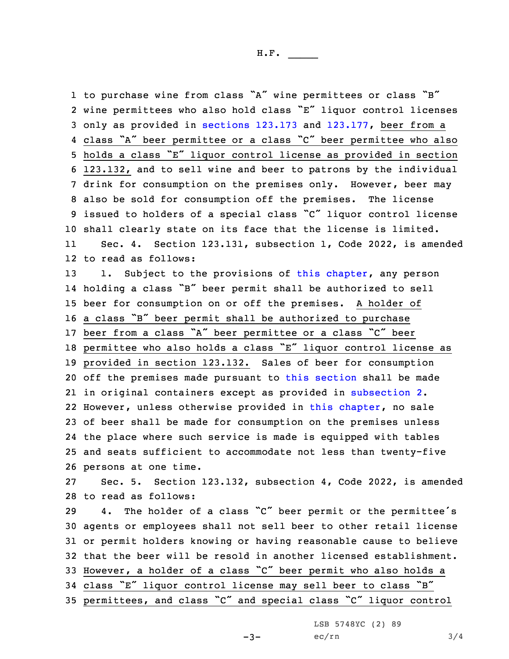to purchase wine from class "A" wine permittees or class "B" wine permittees who also hold class "E" liquor control licenses only as provided in [sections](https://www.legis.iowa.gov/docs/code/2022/123.173.pdf) 123.173 and [123.177](https://www.legis.iowa.gov/docs/code/2022/123.177.pdf), beer from <sup>a</sup> class "A" beer permittee or <sup>a</sup> class "C" beer permittee who also holds <sup>a</sup> class "E" liquor control license as provided in section 123.132, and to sell wine and beer to patrons by the individual drink for consumption on the premises only. However, beer may also be sold for consumption off the premises. The license issued to holders of <sup>a</sup> special class "C" liquor control license shall clearly state on its face that the license is limited. 11 Sec. 4. Section 123.131, subsection 1, Code 2022, is amended to read as follows: 13 1. Subject to the provisions of this [chapter](https://www.legis.iowa.gov/docs/code/2022/123.pdf), any person holding <sup>a</sup> class "B" beer permit shall be authorized to sell beer for consumption on or off the premises. <sup>A</sup> holder of <sup>a</sup> class "B" beer permit shall be authorized to purchase beer from <sup>a</sup> class "A" beer permittee or <sup>a</sup> class "C" beer permittee who also holds <sup>a</sup> class "E" liquor control license as provided in section 123.132. Sales of beer for consumption off the premises made pursuant to this [section](https://www.legis.iowa.gov/docs/code/2022/123.131.pdf) shall be made in original containers except as provided in [subsection](https://www.legis.iowa.gov/docs/code/2022/123.131.pdf) 2. However, unless otherwise provided in this [chapter](https://www.legis.iowa.gov/docs/code/2022/123.pdf), no sale of beer shall be made for consumption on the premises unless the place where such service is made is equipped with tables and seats sufficient to accommodate not less than twenty-five persons at one time. Sec. 5. Section 123.132, subsection 4, Code 2022, is amended to read as follows: 4. The holder of <sup>a</sup> class "C" beer permit or the permittee's agents or employees shall not sell beer to other retail license or permit holders knowing or having reasonable cause to believe that the beer will be resold in another licensed establishment. However, <sup>a</sup> holder of <sup>a</sup> class "C" beer permit who also holds <sup>a</sup> class "E" liquor control license may sell beer to class "B" permittees, and class "C" and special class "C" liquor control

LSB 5748YC (2) 89

 $-3-$